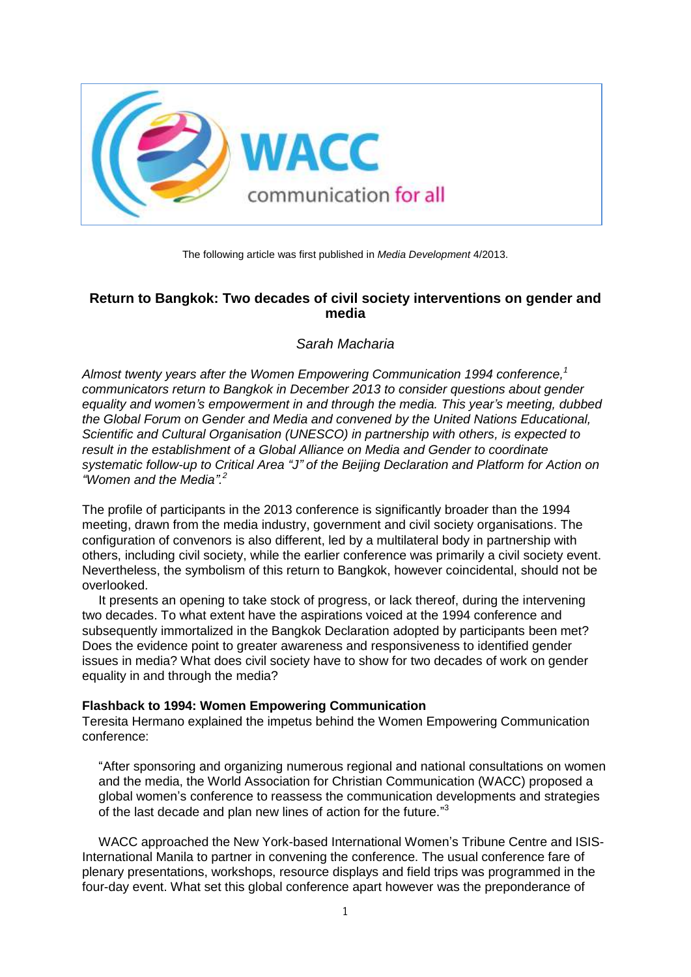

The following article was first published in *Media Development* 4/2013.

# **Return to Bangkok: Two decades of civil society interventions on gender and media**

*Sarah Macharia*

*Almost twenty years after the Women Empowering Communication 1994 conference, 1 communicators return to Bangkok in December 2013 to consider questions about gender equality and women's empowerment in and through the media. This year's meeting, dubbed the Global Forum on Gender and Media and convened by the United Nations Educational, Scientific and Cultural Organisation (UNESCO) in partnership with others, is expected to result in the establishment of a Global Alliance on Media and Gender to coordinate systematic follow-up to Critical Area "J" of the Beijing Declaration and Platform for Action on "Women and the Media". 2*

The profile of participants in the 2013 conference is significantly broader than the 1994 meeting, drawn from the media industry, government and civil society organisations. The configuration of convenors is also different, led by a multilateral body in partnership with others, including civil society, while the earlier conference was primarily a civil society event. Nevertheless, the symbolism of this return to Bangkok, however coincidental, should not be overlooked.

It presents an opening to take stock of progress, or lack thereof, during the intervening two decades. To what extent have the aspirations voiced at the 1994 conference and subsequently immortalized in the Bangkok Declaration adopted by participants been met? Does the evidence point to greater awareness and responsiveness to identified gender issues in media? What does civil society have to show for two decades of work on gender equality in and through the media?

## **Flashback to 1994: Women Empowering Communication**

Teresita Hermano explained the impetus behind the Women Empowering Communication conference:

"After sponsoring and organizing numerous regional and national consultations on women and the media, the World Association for Christian Communication (WACC) proposed a global women's conference to reassess the communication developments and strategies of the last decade and plan new lines of action for the future."<sup>3</sup>

WACC approached the New York-based International Women's Tribune Centre and ISIS-International Manila to partner in convening the conference. The usual conference fare of plenary presentations, workshops, resource displays and field trips was programmed in the four-day event. What set this global conference apart however was the preponderance of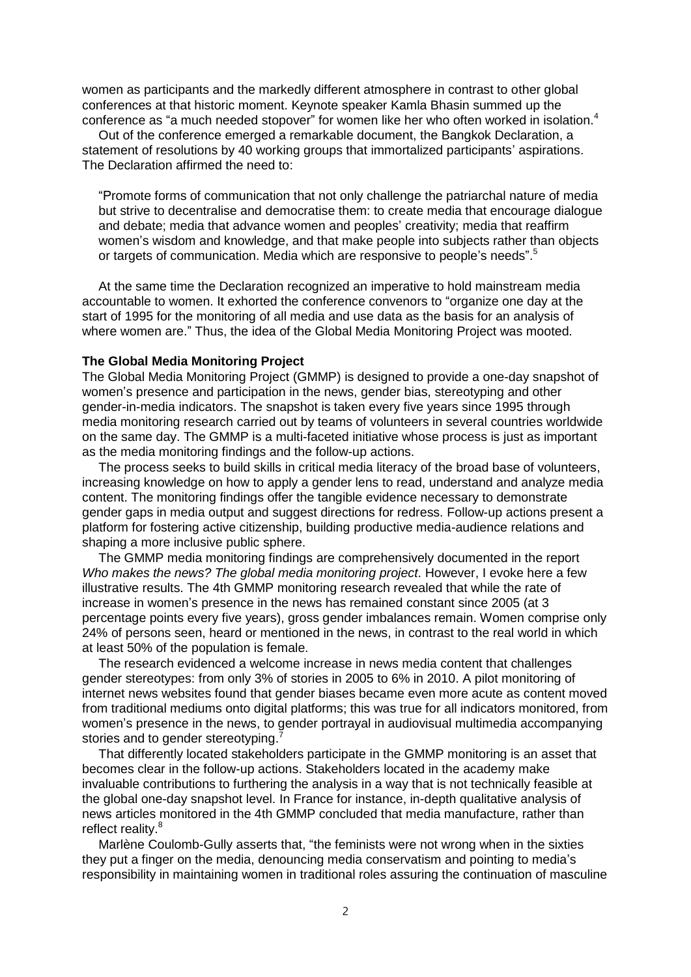women as participants and the markedly different atmosphere in contrast to other global conferences at that historic moment. Keynote speaker Kamla Bhasin summed up the conference as "a much needed stopover" for women like her who often worked in isolation.<sup>4</sup>

Out of the conference emerged a remarkable document, the Bangkok Declaration, a statement of resolutions by 40 working groups that immortalized participants' aspirations. The Declaration affirmed the need to:

"Promote forms of communication that not only challenge the patriarchal nature of media but strive to decentralise and democratise them: to create media that encourage dialogue and debate; media that advance women and peoples' creativity; media that reaffirm women's wisdom and knowledge, and that make people into subjects rather than objects or targets of communication. Media which are responsive to people's needs".<sup>5</sup>

At the same time the Declaration recognized an imperative to hold mainstream media accountable to women. It exhorted the conference convenors to "organize one day at the start of 1995 for the monitoring of all media and use data as the basis for an analysis of where women are." Thus, the idea of the Global Media Monitoring Project was mooted.

#### **The Global Media Monitoring Project**

The Global Media Monitoring Project (GMMP) is designed to provide a one-day snapshot of women's presence and participation in the news, gender bias, stereotyping and other gender-in-media indicators. The snapshot is taken every five years since 1995 through media monitoring research carried out by teams of volunteers in several countries worldwide on the same day. The GMMP is a multi-faceted initiative whose process is just as important as the media monitoring findings and the follow-up actions.

The process seeks to build skills in critical media literacy of the broad base of volunteers, increasing knowledge on how to apply a gender lens to read, understand and analyze media content. The monitoring findings offer the tangible evidence necessary to demonstrate gender gaps in media output and suggest directions for redress. Follow-up actions present a platform for fostering active citizenship, building productive media-audience relations and shaping a more inclusive public sphere.

The GMMP media monitoring findings are comprehensively documented in the report *Who makes the news? The global media monitoring project*. However, I evoke here a few illustrative results. The 4th GMMP monitoring research revealed that while the rate of increase in women's presence in the news has remained constant since 2005 (at 3 percentage points every five years), gross gender imbalances remain. Women comprise only 24% of persons seen, heard or mentioned in the news, in contrast to the real world in which at least 50% of the population is female.

The research evidenced a welcome increase in news media content that challenges gender stereotypes: from only 3% of stories in 2005 to 6% in 2010. A pilot monitoring of internet news websites found that gender biases became even more acute as content moved from traditional mediums onto digital platforms; this was true for all indicators monitored, from women's presence in the news, to gender portrayal in audiovisual multimedia accompanying stories and to gender stereotyping.

That differently located stakeholders participate in the GMMP monitoring is an asset that becomes clear in the follow-up actions. Stakeholders located in the academy make invaluable contributions to furthering the analysis in a way that is not technically feasible at the global one-day snapshot level. In France for instance, in-depth qualitative analysis of news articles monitored in the 4th GMMP concluded that media manufacture, rather than reflect reality.<sup>8</sup>

Marlène Coulomb-Gully asserts that, "the feminists were not wrong when in the sixties they put a finger on the media, denouncing media conservatism and pointing to media's responsibility in maintaining women in traditional roles assuring the continuation of masculine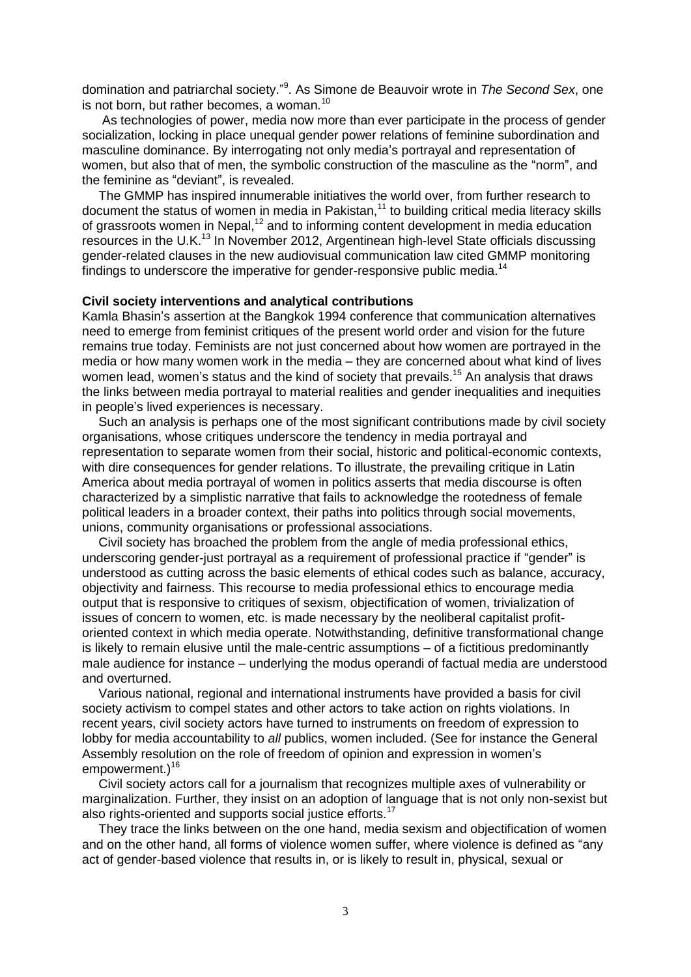domination and patriarchal society." 9 . As Simone de Beauvoir wrote in *The Second Sex*, one is not born, but rather becomes, a woman*.* 10

As technologies of power, media now more than ever participate in the process of gender socialization, locking in place unequal gender power relations of feminine subordination and masculine dominance. By interrogating not only media's portrayal and representation of women, but also that of men, the symbolic construction of the masculine as the "norm", and the feminine as "deviant", is revealed.

The GMMP has inspired innumerable initiatives the world over, from further research to document the status of women in media in Pakistan,<sup>11</sup> to building critical media literacy skills of grassroots women in Nepal,<sup>12</sup> and to informing content development in media education resources in the U.K.<sup>13</sup> In November 2012, Argentinean high-level State officials discussing gender-related clauses in the new audiovisual communication law cited GMMP monitoring findings to underscore the imperative for gender-responsive public media.<sup>14</sup>

### **Civil society interventions and analytical contributions**

Kamla Bhasin's assertion at the Bangkok 1994 conference that communication alternatives need to emerge from feminist critiques of the present world order and vision for the future remains true today. Feminists are not just concerned about how women are portrayed in the media or how many women work in the media – they are concerned about what kind of lives women lead, women's status and the kind of society that prevails.<sup>15</sup> An analysis that draws the links between media portrayal to material realities and gender inequalities and inequities in people's lived experiences is necessary.

Such an analysis is perhaps one of the most significant contributions made by civil society organisations, whose critiques underscore the tendency in media portrayal and representation to separate women from their social, historic and political-economic contexts, with dire consequences for gender relations. To illustrate, the prevailing critique in Latin America about media portrayal of women in politics asserts that media discourse is often characterized by a simplistic narrative that fails to acknowledge the rootedness of female political leaders in a broader context, their paths into politics through social movements, unions, community organisations or professional associations.

Civil society has broached the problem from the angle of media professional ethics, underscoring gender-just portrayal as a requirement of professional practice if "gender" is understood as cutting across the basic elements of ethical codes such as balance, accuracy, objectivity and fairness. This recourse to media professional ethics to encourage media output that is responsive to critiques of sexism, objectification of women, trivialization of issues of concern to women, etc. is made necessary by the neoliberal capitalist profitoriented context in which media operate. Notwithstanding, definitive transformational change is likely to remain elusive until the male-centric assumptions – of a fictitious predominantly male audience for instance – underlying the modus operandi of factual media are understood and overturned.

Various national, regional and international instruments have provided a basis for civil society activism to compel states and other actors to take action on rights violations. In recent years, civil society actors have turned to instruments on freedom of expression to lobby for media accountability to *all* publics, women included. (See for instance the General Assembly resolution on the role of freedom of opinion and expression in women's empowerment.)<sup>16</sup>

Civil society actors call for a journalism that recognizes multiple axes of vulnerability or marginalization. Further, they insist on an adoption of language that is not only non-sexist but also rights-oriented and supports social justice efforts.<sup>17</sup>

They trace the links between on the one hand, media sexism and objectification of women and on the other hand, all forms of violence women suffer, where violence is defined as "any act of gender-based violence that results in, or is likely to result in, physical, sexual or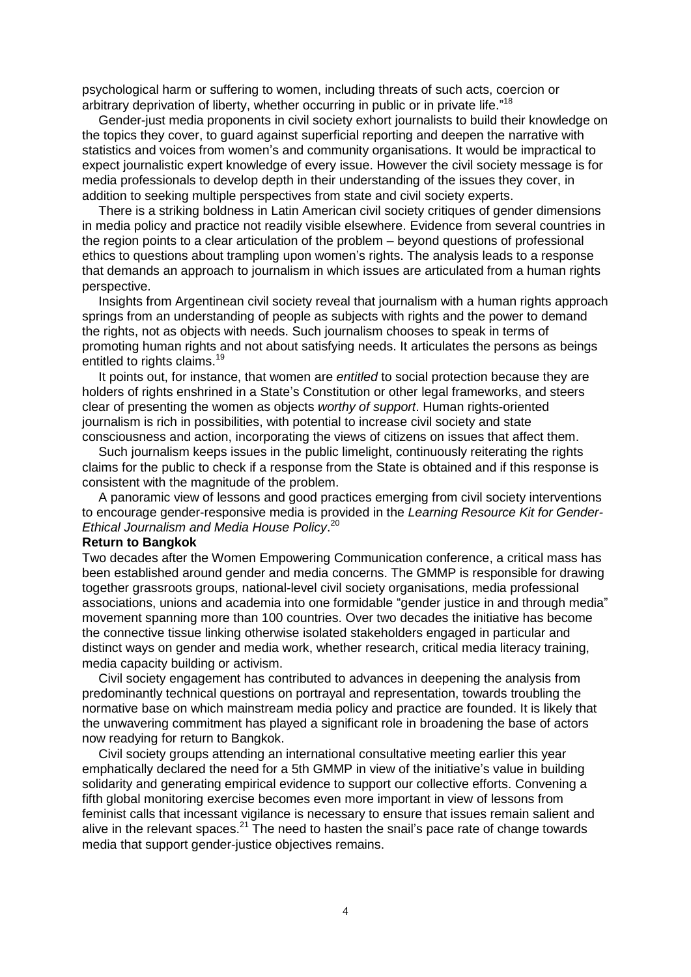psychological harm or suffering to women, including threats of such acts, coercion or arbitrary deprivation of liberty, whether occurring in public or in private life."<sup>18</sup>

Gender-just media proponents in civil society exhort journalists to build their knowledge on the topics they cover, to guard against superficial reporting and deepen the narrative with statistics and voices from women's and community organisations. It would be impractical to expect journalistic expert knowledge of every issue. However the civil society message is for media professionals to develop depth in their understanding of the issues they cover, in addition to seeking multiple perspectives from state and civil society experts.

There is a striking boldness in Latin American civil society critiques of gender dimensions in media policy and practice not readily visible elsewhere. Evidence from several countries in the region points to a clear articulation of the problem – beyond questions of professional ethics to questions about trampling upon women's rights. The analysis leads to a response that demands an approach to journalism in which issues are articulated from a human rights perspective.

Insights from Argentinean civil society reveal that journalism with a human rights approach springs from an understanding of people as subjects with rights and the power to demand the rights, not as objects with needs. Such journalism chooses to speak in terms of promoting human rights and not about satisfying needs. It articulates the persons as beings entitled to rights claims.<sup>19</sup>

It points out, for instance, that women are *entitled* to social protection because they are holders of rights enshrined in a State's Constitution or other legal frameworks, and steers clear of presenting the women as objects *worthy of support*. Human rights-oriented journalism is rich in possibilities, with potential to increase civil society and state consciousness and action, incorporating the views of citizens on issues that affect them.

Such journalism keeps issues in the public limelight, continuously reiterating the rights claims for the public to check if a response from the State is obtained and if this response is consistent with the magnitude of the problem.

A panoramic view of lessons and good practices emerging from civil society interventions to encourage gender-responsive media is provided in the *Learning Resource Kit for Gender-Ethical Journalism and Media House Policy*. 20

#### **Return to Bangkok**

Two decades after the Women Empowering Communication conference, a critical mass has been established around gender and media concerns. The GMMP is responsible for drawing together grassroots groups, national-level civil society organisations, media professional associations, unions and academia into one formidable "gender justice in and through media" movement spanning more than 100 countries. Over two decades the initiative has become the connective tissue linking otherwise isolated stakeholders engaged in particular and distinct ways on gender and media work, whether research, critical media literacy training, media capacity building or activism.

Civil society engagement has contributed to advances in deepening the analysis from predominantly technical questions on portrayal and representation, towards troubling the normative base on which mainstream media policy and practice are founded. It is likely that the unwavering commitment has played a significant role in broadening the base of actors now readying for return to Bangkok.

Civil society groups attending an international consultative meeting earlier this year emphatically declared the need for a 5th GMMP in view of the initiative's value in building solidarity and generating empirical evidence to support our collective efforts. Convening a fifth global monitoring exercise becomes even more important in view of lessons from feminist calls that incessant vigilance is necessary to ensure that issues remain salient and alive in the relevant spaces.<sup>21</sup> The need to hasten the snail's pace rate of change towards media that support gender-justice objectives remains.